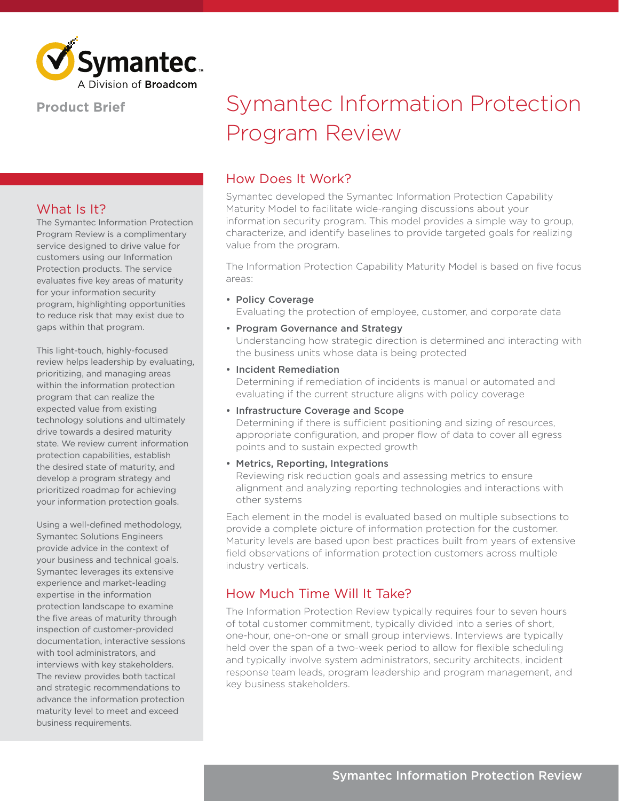

## **Product Brief**

## What Is It?

The Symantec Information Protection Program Review is a complimentary service designed to drive value for customers using our Information Protection products. The service evaluates five key areas of maturity for your information security program, highlighting opportunities to reduce risk that may exist due to gaps within that program.

This light-touch, highly-focused review helps leadership by evaluating, prioritizing, and managing areas within the information protection program that can realize the expected value from existing technology solutions and ultimately drive towards a desired maturity state. We review current information protection capabilities, establish the desired state of maturity, and develop a program strategy and prioritized roadmap for achieving your information protection goals.

Using a well-defined methodology, Symantec Solutions Engineers provide advice in the context of your business and technical goals. Symantec leverages its extensive experience and market-leading expertise in the information protection landscape to examine the five areas of maturity through inspection of customer-provided documentation, interactive sessions with tool administrators, and interviews with key stakeholders. The review provides both tactical and strategic recommendations to advance the information protection maturity level to meet and exceed business requirements.

# Symantec Information Protection Program Review

### How Does It Work?

Symantec developed the Symantec Information Protection Capability Maturity Model to facilitate wide-ranging discussions about your information security program. This model provides a simple way to group, characterize, and identify baselines to provide targeted goals for realizing value from the program.

The Information Protection Capability Maturity Model is based on five focus areas:

- Policy Coverage Evaluating the protection of employee, customer, and corporate data
- Program Governance and Strategy Understanding how strategic direction is determined and interacting with the business units whose data is being protected
- Incident Remediation

Determining if remediation of incidents is manual or automated and evaluating if the current structure aligns with policy coverage

#### • Infrastructure Coverage and Scope

Determining if there is sufficient positioning and sizing of resources, appropriate configuration, and proper flow of data to cover all egress points and to sustain expected growth

#### • Metrics, Reporting, Integrations

Reviewing risk reduction goals and assessing metrics to ensure alignment and analyzing reporting technologies and interactions with other systems

Each element in the model is evaluated based on multiple subsections to provide a complete picture of information protection for the customer. Maturity levels are based upon best practices built from years of extensive field observations of information protection customers across multiple industry verticals.

# How Much Time Will It Take?

The Information Protection Review typically requires four to seven hours of total customer commitment, typically divided into a series of short, one-hour, one-on-one or small group interviews. Interviews are typically held over the span of a two-week period to allow for flexible scheduling and typically involve system administrators, security architects, incident response team leads, program leadership and program management, and key business stakeholders.